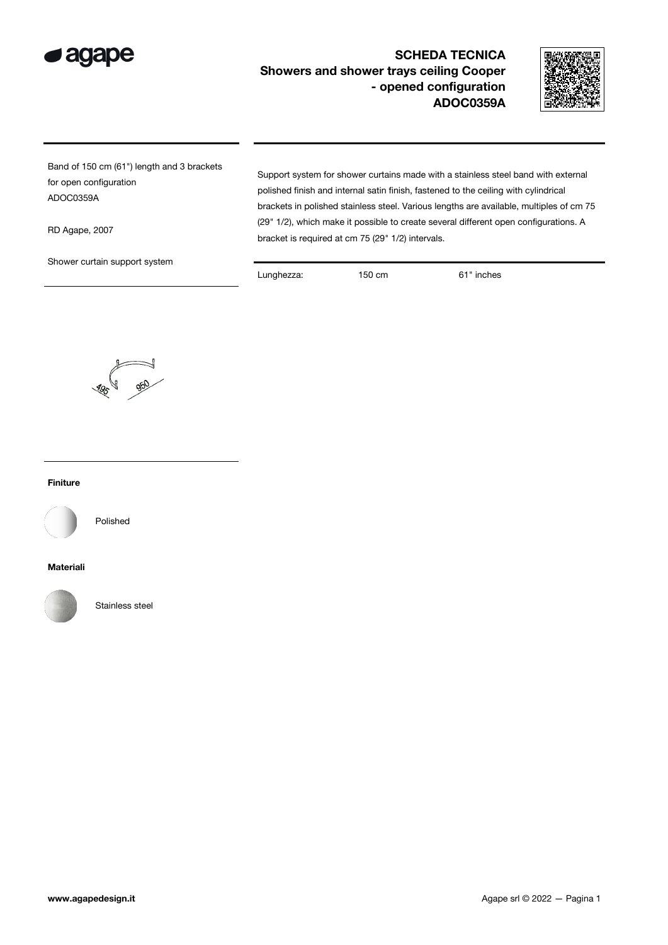



Band of 150 cm (61") length and 3 brackets for open configuration ADOC0359A

RD Agape, 2007

Shower curtain support system

polished finish and internal satin finish, fastened to the ceiling with cylindrical brackets in polished stainless steel. Various lengths are available, multiples of cm 75 (29" 1/2), which make it possible to create several different open configurations. A bracket is required at cm 75 (29" 1/2) intervals.

Support system for shower curtains made with a stainless steel band with external

Lunghezza: 150 cm 61" inches



## Finiture



Polished

## Materiali



Stainless steel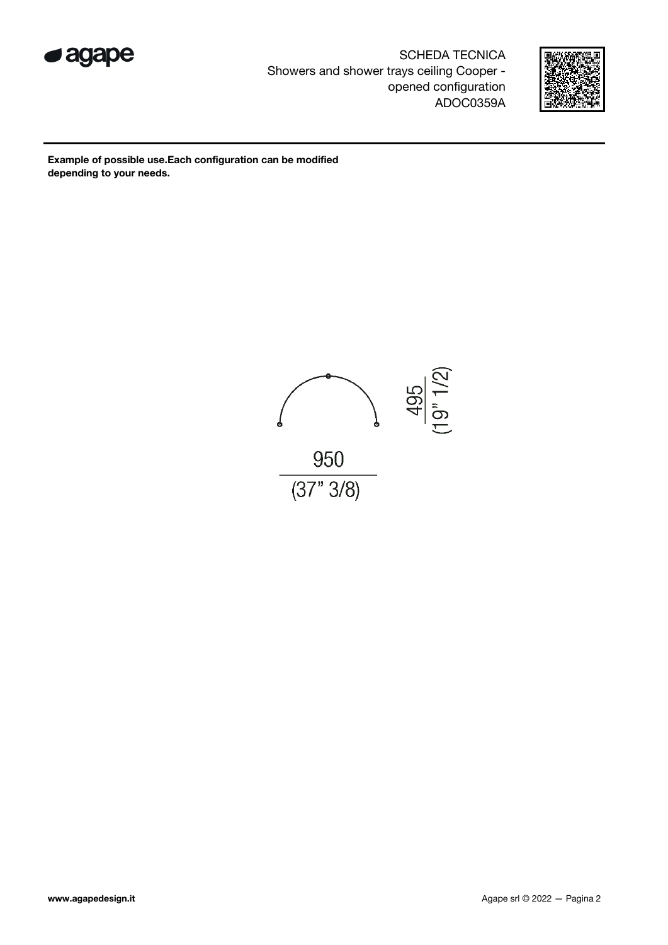



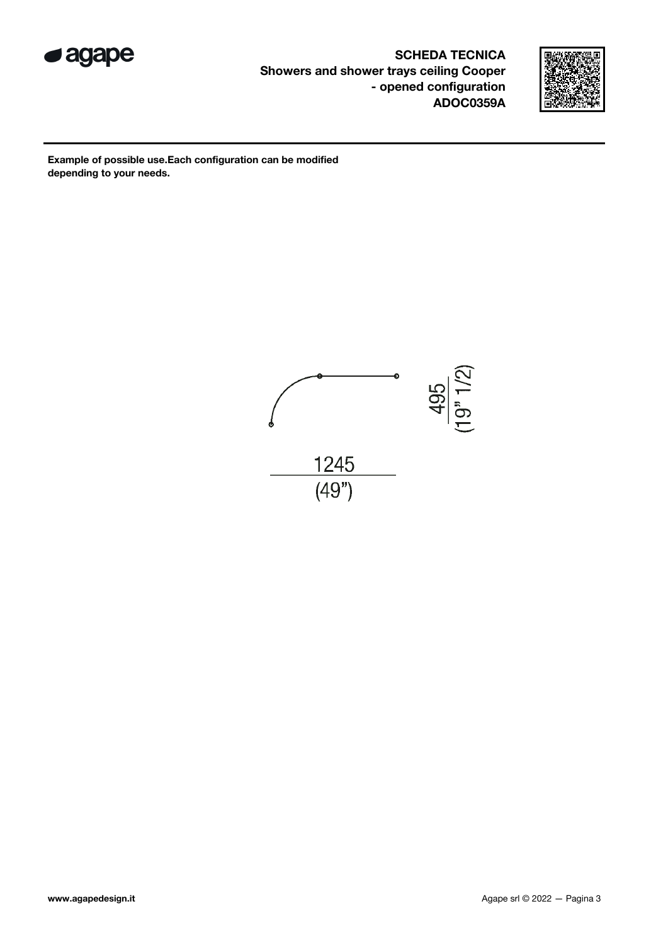



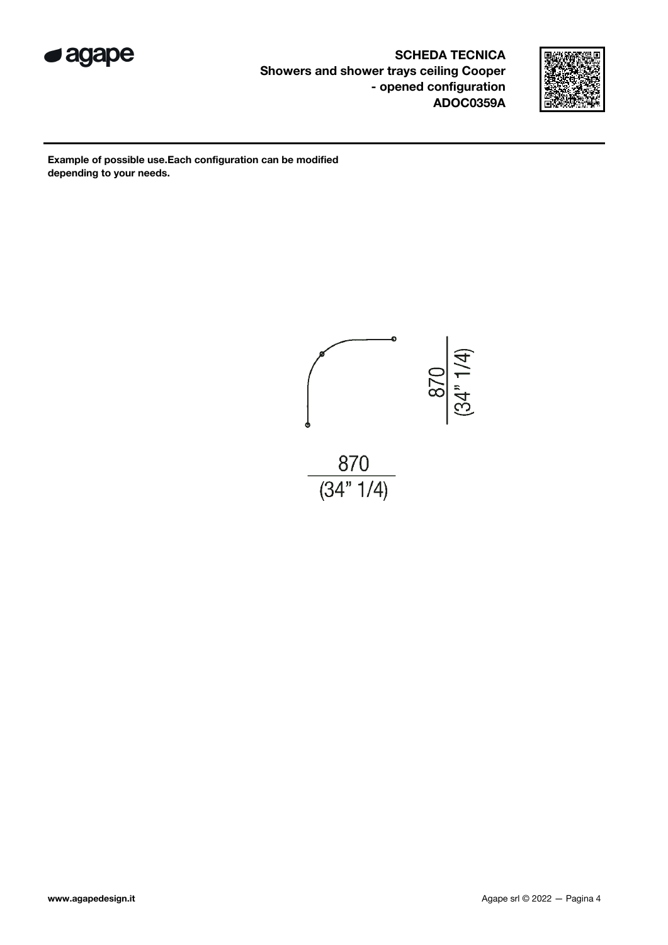